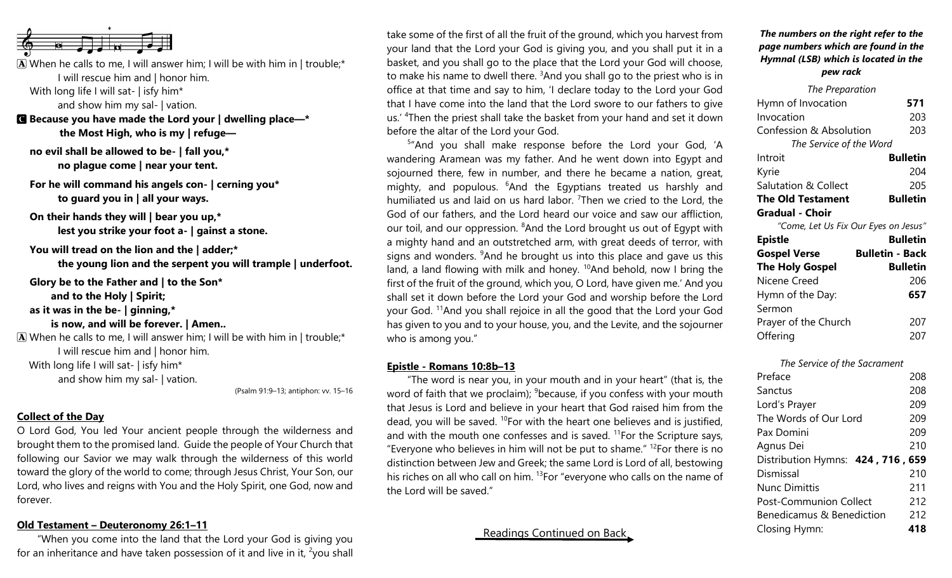

 $\mathbf{\overline{A}}$  When he calls to me, I will answer him; I will be with him in | trouble;\* I will rescue him and | honor him.

With long life I will sat- | isfy him\*

and show him my sal- | vation.

C **Because you have made the Lord your | dwelling place—\* the Most High, who is my | refuge—**

**no evil shall be allowed to be- | fall you,\* no plague come | near your tent.**

**For he will command his angels con- | cerning you\* to guard you in | all your ways.**

**On their hands they will | bear you up,\* lest you strike your foot a- | gainst a stone.**

**You will tread on the lion and the | adder;\* the young lion and the serpent you will trample | underfoot.**

**Glory be to the Father and | to the Son\* and to the Holy | Spirit; as it was in the be- | ginning,\* is now, and will be forever. | Amen..**  $\mathbf{\overline{A}}$  When he calls to me, I will answer him; I will be with him in | trouble;\* I will rescue him and | honor him.

With long life I will sat- | isfy him\*

and show him my sal- | vation.

(Psalm 91:9–13; antiphon: vv. 15–16

# **Collect of the Day**

O Lord God, You led Your ancient people through the wilderness and brought them to the promised land. Guide the people of Your Church that following our Savior we may walk through the wilderness of this world toward the glory of the world to come; through Jesus Christ, Your Son, our Lord, who lives and reigns with You and the Holy Spirit, one God, now and forever.

# **Old Testament – Deuteronomy 26:1–11**

"When you come into the land that the Lord your God is giving you for an inheritance and have taken possession of it and live in it,  $\frac{2}{v}$  you shall take some of the first of all the fruit of the ground, which you harvest from your land that the Lord your God is giving you, and you shall put it in a basket, and you shall go to the place that the Lord your God will choose, to make his name to dwell there.  $3$ And you shall go to the priest who is in office at that time and say to him, 'I declare today to the Lord your God that I have come into the land that the Lord swore to our fathers to give us.' <sup>4</sup>Then the priest shall take the basket from your hand and set it down before the altar of the Lord your God.

<sup>5</sup>"And you shall make response before the Lord your God, 'A wandering Aramean was my father. And he went down into Egypt and sojourned there, few in number, and there he became a nation, great, mighty, and populous. <sup>6</sup>And the Egyptians treated us harshly and humiliated us and laid on us hard labor. <sup>7</sup>Then we cried to the Lord, the God of our fathers, and the Lord heard our voice and saw our affliction, our toil, and our oppression. <sup>8</sup>And the Lord brought us out of Egypt with a mighty hand and an outstretched arm, with great deeds of terror, with signs and wonders.  $9$ And he brought us into this place and gave us this land, a land flowing with milk and honey.  $10A$ nd behold, now I bring the first of the fruit of the ground, which you, O Lord, have given me.' And you shall set it down before the Lord your God and worship before the Lord your God. <sup>11</sup>And you shall rejoice in all the good that the Lord your God has given to you and to your house, you, and the Levite, and the sojourner who is among you."

## **Epistle - Romans 10:8b–13**

"The word is near you, in your mouth and in your heart" (that is, the word of faith that we proclaim);  $9$  because, if you confess with your mouth that Jesus is Lord and believe in your heart that God raised him from the dead, you will be saved. <sup>10</sup>For with the heart one believes and is justified, and with the mouth one confesses and is saved.  $11$  For the Scripture says, "Everyone who believes in him will not be put to shame."  $12$  For there is no distinction between Jew and Greek; the same Lord is Lord of all, bestowing his riches on all who call on him. <sup>13</sup>For "everyone who calls on the name of the Lord will be saved."

# Readings Continued on Back

### *The numbers on the right refer to the page numbers which are found in the Hymnal (LSB) which is located in the pew rack*

| The Preparation                      |                 |
|--------------------------------------|-----------------|
| Hymn of Invocation                   | 571             |
| Invocation                           | 203             |
| Confession & Absolution              | 203             |
| The Service of the Word              |                 |
| Introit                              | <b>Bulletin</b> |
| Kyrie                                | 204             |
| Salutation & Collect                 | 205             |
| <b>The Old Testament</b>             | <b>Bulletin</b> |
| <b>Gradual - Choir</b>               |                 |
| "Come, Let Us Fix Our Eyes on Jesus" |                 |

| <b>Epistle</b>         | <b>Bulletin</b>        |
|------------------------|------------------------|
| <b>Gospel Verse</b>    | <b>Bulletin - Back</b> |
| <b>The Holy Gospel</b> | <b>Bulletin</b>        |
| Nicene Creed           | 206                    |
| Hymn of the Day:       | 657                    |
| Sermon                 |                        |
| Prayer of the Church   | 207                    |
| Offering               | 207                    |

*The Service of the Sacrament*

| Preface                           | 208 |
|-----------------------------------|-----|
| Sanctus                           | 208 |
| Lord's Prayer                     | 209 |
| The Words of Our Lord             | 209 |
| Pax Domini                        | 209 |
| Agnus Dei                         | 210 |
| Distribution Hymns: 424, 716, 659 |     |
| Dismissal                         | 210 |
| <b>Nunc Dimittis</b>              | 211 |
| <b>Post-Communion Collect</b>     | 212 |
| Benedicamus & Benediction         | 212 |
| Closing Hymn:                     | 418 |